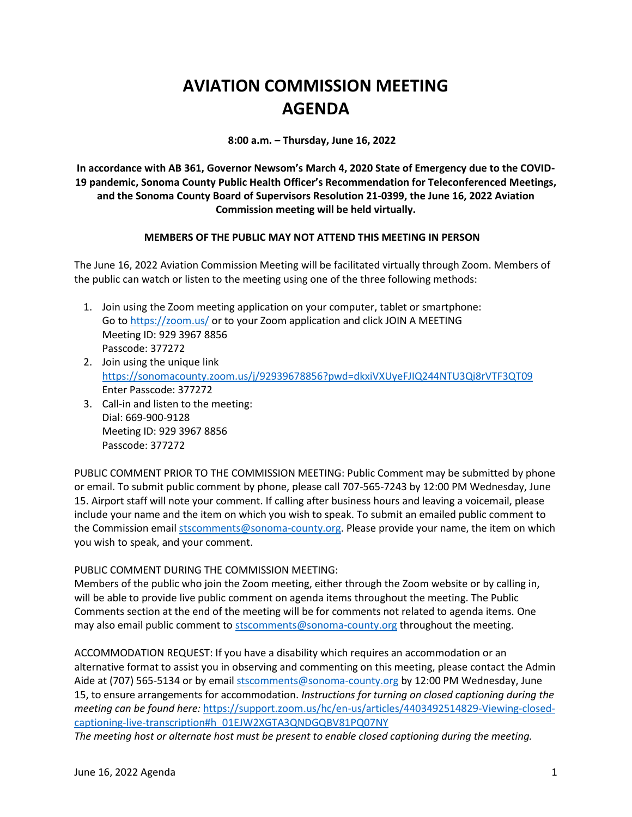## **AVIATION COMMISSION MEETING AGENDA**

**8:00 a.m. – Thursday, June 16, 2022**

**In accordance with AB 361, Governor Newsom's March 4, 2020 State of Emergency due to the COVID-19 pandemic, Sonoma County Public Health Officer's Recommendation for Teleconferenced Meetings, and the Sonoma County Board of Supervisors Resolution 21-0399, the June 16, 2022 Aviation Commission meeting will be held virtually.**

## **MEMBERS OF THE PUBLIC MAY NOT ATTEND THIS MEETING IN PERSON**

The June 16, 2022 Aviation Commission Meeting will be facilitated virtually through Zoom. Members of the public can watch or listen to the meeting using one of the three following methods:

- 1. Join using the Zoom meeting application on your computer, tablet or smartphone: Go to<https://zoom.us/> or to your Zoom application and click JOIN A MEETING Meeting ID: 929 3967 8856 Passcode: 377272
- 2. Join using the unique link <https://sonomacounty.zoom.us/j/92939678856?pwd=dkxiVXUyeFJIQ244NTU3Qi8rVTF3QT09> Enter Passcode: 377272
- 3. Call-in and listen to the meeting: Dial: 669-900-9128 Meeting ID: 929 3967 8856 Passcode: 377272

PUBLIC COMMENT PRIOR TO THE COMMISSION MEETING: Public Comment may be submitted by phone or email. To submit public comment by phone, please call 707-565-7243 by 12:00 PM Wednesday, June 15. Airport staff will note your comment. If calling after business hours and leaving a voicemail, please include your name and the item on which you wish to speak. To submit an emailed public comment to the Commission emai[l stscomments@sonoma-county.org.](mailto:stscomments@sonoma-county.org) Please provide your name, the item on which you wish to speak, and your comment.

## PUBLIC COMMENT DURING THE COMMISSION MEETING:

Members of the public who join the Zoom meeting, either through the Zoom website or by calling in, will be able to provide live public comment on agenda items throughout the meeting. The Public Comments section at the end of the meeting will be for comments not related to agenda items. One may also email public comment to [stscomments@sonoma-county.org](mailto:stscomments@sonoma-county.org) throughout the meeting.

ACCOMMODATION REQUEST: If you have a disability which requires an accommodation or an alternative format to assist you in observing and commenting on this meeting, please contact the Admin Aide at (707) 565-5134 or by emai[l stscomments@sonoma-county.org](mailto:stscomments@sonoma-county.org) by 12:00 PM Wednesday, June 15, to ensure arrangements for accommodation. *Instructions for turning on closed captioning during the meeting can be found here:* [https://support.zoom.us/hc/en-us/articles/4403492514829-Viewing-closed](https://support.zoom.us/hc/en-us/articles/4403492514829-Viewing-closed-captioning-live-transcription#h_01EJW2XGTA3QNDGQBV81PQ07NY)[captioning-live-transcription#h\\_01EJW2XGTA3QNDGQBV81PQ07NY](https://support.zoom.us/hc/en-us/articles/4403492514829-Viewing-closed-captioning-live-transcription#h_01EJW2XGTA3QNDGQBV81PQ07NY)

*The meeting host or alternate host must be present to enable closed captioning during the meeting.*